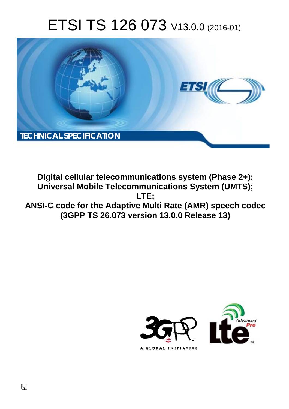# ETSI TS 126 073 V13.0.0 (2016-01)



**Digital cellular telecommunications system (Phase 2+); Universal Mobile Tel elecommunications System ( (UMTS); ANSI-C code for the Adaptive Multi Rate (AMR) speech codec (3GPP TS 26.0 .073 version 13.0.0 Release 13 13) LTE;** 



 $\Box$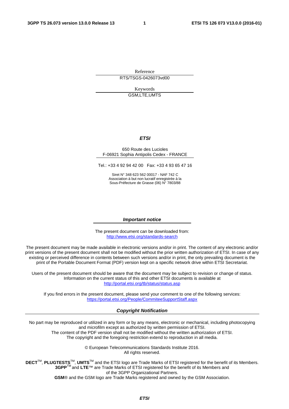Reference RTS/TSGS-0426073vd00

> Keywords GSM,LTE,UMTS

#### *ETSI*

#### 650 Route des Lucioles F-06921 Sophia Antipolis Cedex - FRANCE

Tel.: +33 4 92 94 42 00 Fax: +33 4 93 65 47 16

Siret N° 348 623 562 00017 - NAF 742 C Association à but non lucratif enregistrée à la Sous-Préfecture de Grasse (06) N° 7803/88

#### *Important notice*

The present document can be downloaded from: <http://www.etsi.org/standards-search>

The present document may be made available in electronic versions and/or in print. The content of any electronic and/or print versions of the present document shall not be modified without the prior written authorization of ETSI. In case of any existing or perceived difference in contents between such versions and/or in print, the only prevailing document is the print of the Portable Document Format (PDF) version kept on a specific network drive within ETSI Secretariat.

Users of the present document should be aware that the document may be subject to revision or change of status. Information on the current status of this and other ETSI documents is available at <http://portal.etsi.org/tb/status/status.asp>

If you find errors in the present document, please send your comment to one of the following services: <https://portal.etsi.org/People/CommiteeSupportStaff.aspx>

#### *Copyright Notification*

No part may be reproduced or utilized in any form or by any means, electronic or mechanical, including photocopying and microfilm except as authorized by written permission of ETSI.

The content of the PDF version shall not be modified without the written authorization of ETSI. The copyright and the foregoing restriction extend to reproduction in all media.

> © European Telecommunications Standards Institute 2016. All rights reserved.

**DECT**TM, **PLUGTESTS**TM, **UMTS**TM and the ETSI logo are Trade Marks of ETSI registered for the benefit of its Members. **3GPP**TM and **LTE**™ are Trade Marks of ETSI registered for the benefit of its Members and of the 3GPP Organizational Partners.

**GSM**® and the GSM logo are Trade Marks registered and owned by the GSM Association.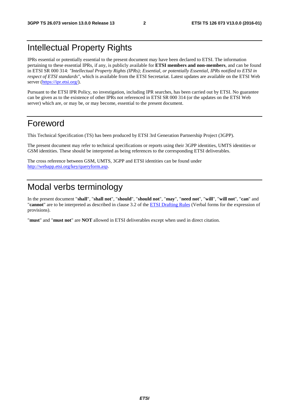# Intellectual Property Rights

IPRs essential or potentially essential to the present document may have been declared to ETSI. The information pertaining to these essential IPRs, if any, is publicly available for **ETSI members and non-members**, and can be found in ETSI SR 000 314: *"Intellectual Property Rights (IPRs); Essential, or potentially Essential, IPRs notified to ETSI in respect of ETSI standards"*, which is available from the ETSI Secretariat. Latest updates are available on the ETSI Web server [\(https://ipr.etsi.org/](https://ipr.etsi.org/)).

Pursuant to the ETSI IPR Policy, no investigation, including IPR searches, has been carried out by ETSI. No guarantee can be given as to the existence of other IPRs not referenced in ETSI SR 000 314 (or the updates on the ETSI Web server) which are, or may be, or may become, essential to the present document.

# Foreword

This Technical Specification (TS) has been produced by ETSI 3rd Generation Partnership Project (3GPP).

The present document may refer to technical specifications or reports using their 3GPP identities, UMTS identities or GSM identities. These should be interpreted as being references to the corresponding ETSI deliverables.

The cross reference between GSM, UMTS, 3GPP and ETSI identities can be found under [http://webapp.etsi.org/key/queryform.asp.](http://webapp.etsi.org/key/queryform.asp)

# Modal verbs terminology

In the present document "**shall**", "**shall not**", "**should**", "**should not**", "**may**", "**need not**", "**will**", "**will not**", "**can**" and "**cannot**" are to be interpreted as described in clause 3.2 of the [ETSI Drafting Rules](http://portal.etsi.org/Help/editHelp!/Howtostart/ETSIDraftingRules.aspx) (Verbal forms for the expression of provisions).

"**must**" and "**must not**" are **NOT** allowed in ETSI deliverables except when used in direct citation.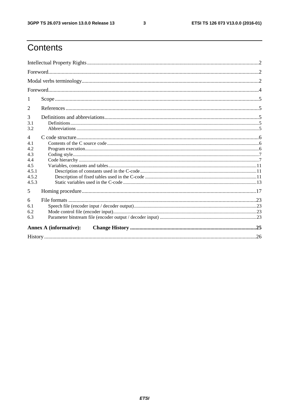$\mathbf{3}$ 

# Contents

| 1              |                               |  |
|----------------|-------------------------------|--|
| 2              |                               |  |
| 3              |                               |  |
| 3.1<br>3.2     |                               |  |
| 4              |                               |  |
| 4.1<br>4.2     |                               |  |
| 4.3            |                               |  |
| 4.4            |                               |  |
| 4.5            |                               |  |
| 4.5.1<br>4.5.2 |                               |  |
| 4.5.3          |                               |  |
| 5              |                               |  |
| 6              |                               |  |
| 6.1            |                               |  |
| 6.2            |                               |  |
| 6.3            |                               |  |
|                | <b>Annex A (informative):</b> |  |
|                |                               |  |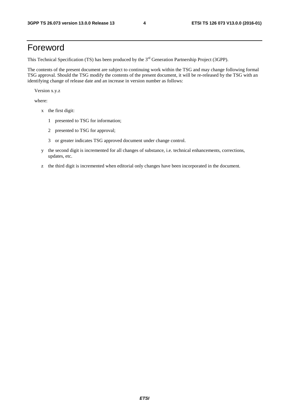# Foreword

This Technical Specification (TS) has been produced by the 3<sup>rd</sup> Generation Partnership Project (3GPP).

The contents of the present document are subject to continuing work within the TSG and may change following formal TSG approval. Should the TSG modify the contents of the present document, it will be re-released by the TSG with an identifying change of release date and an increase in version number as follows:

Version x.y.z

where:

- x the first digit:
	- 1 presented to TSG for information;
	- 2 presented to TSG for approval;
	- 3 or greater indicates TSG approved document under change control.
- y the second digit is incremented for all changes of substance, i.e. technical enhancements, corrections, updates, etc.
- z the third digit is incremented when editorial only changes have been incorporated in the document.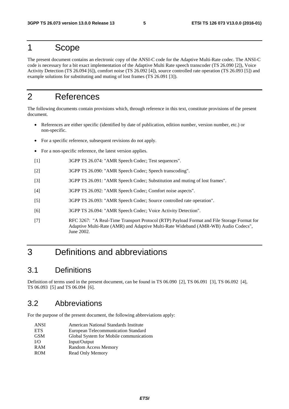# 1 Scope

The present document contains an electronic copy of the ANSI-C code for the Adaptive Multi-Rate codec. The ANSI-C code is necessary for a bit exact implementation of the Adaptive Multi Rate speech transcoder (TS 26.090 [2]), Voice Activity Detection (TS 26.094 [6]), comfort noise (TS 26.092 [4]), source controlled rate operation (TS 26.093 [5]) and example solutions for substituting and muting of lost frames (TS 26.091 [3]).

# 2 References

The following documents contain provisions which, through reference in this text, constitute provisions of the present document.

- References are either specific (identified by date of publication, edition number, version number, etc.) or non-specific.
- For a specific reference, subsequent revisions do not apply.
- For a non-specific reference, the latest version applies.
- [1] 3GPP TS 26.074: "AMR Speech Codec; Test sequences".
- [2] 3GPP TS 26.090: "AMR Speech Codec; Speech transcoding".
- [3] 3GPP TS 26.091: "AMR Speech Codec; Substitution and muting of lost frames".
- [4] 3GPP TS 26.092: "AMR Speech Codec; Comfort noise aspects".
- [5] 3GPP TS 26.093: "AMR Speech Codec; Source controlled rate operation".
- [6] 3GPP TS 26.094: "AMR Speech Codec; Voice Activity Detection".
- [7] RFC 3267: "A Real-Time Transport Protocol (RTP) Payload Format and File Storage Format for Adaptive Multi-Rate (AMR) and Adaptive Multi-Rate Wideband (AMR-WB) Audio Codecs", June 2002.

# 3 Definitions and abbreviations

### 3.1 Definitions

Definition of terms used in the present document, can be found in TS 06.090 [2], TS 06.091 [3], TS 06.092 [4], TS 06.093 [5] and TS 06.094 [6].

#### 3.2 Abbreviations

For the purpose of the present document, the following abbreviations apply:

- ANSI American National Standards Institute
- ETS European Telecommunication Standard
- GSM Global System for Mobile communications
- I/O Input/Output
- RAM Random Access Memory
- ROM Read Only Memory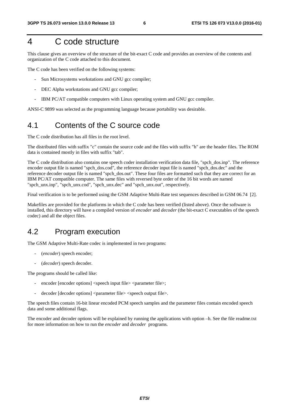# 4 C code structure

This clause gives an overview of the structure of the bit-exact C code and provides an overview of the contents and organization of the C code attached to this document.

The C code has been verified on the following systems:

- Sun Microsystems workstations and GNU gcc compiler;
- DEC Alpha workstations and GNU gcc compiler;
- IBM PC/AT compatible computers with Linux operating system and GNU gcc compiler.

ANSI-C 9899 was selected as the programming language because portability was desirable.

# 4.1 Contents of the C source code

The C code distribution has all files in the root level.

The distributed files with suffix "c" contain the source code and the files with suffix "h" are the header files. The ROM data is contained mostly in files with suffix "tab".

The C code distribution also contains one speech coder installation verification data file, "spch\_dos.inp". The reference encoder output file is named "spch\_dos.cod", the reference decoder input file is named "spch\_dos.dec" and the reference decoder output file is named "spch\_dos.out". These four files are formatted such that they are correct for an IBM PC/AT compatible computer. The same files with reversed byte order of the 16 bit words are named "spch\_unx.inp", "spch\_unx.cod", "spch\_unx.dec" and "spch\_unx.out", respectively.

Final verification is to be performed using the GSM Adaptive Multi-Rate test sequences described in GSM 06.74 [2].

Makefiles are provided for the platforms in which the C code has been verified (listed above). Once the software is installed, this directory will have a compiled version of *encoder* and *decoder* (the bit-exact C executables of the speech codec) and all the object files.

# 4.2 Program execution

The GSM Adaptive Multi-Rate codec is implemented in two programs:

- (*encoder*) speech encoder;
- (*decoder*) speech decoder.

The programs should be called like:

- encoder [encoder options] <speech input file> <parameter file>;
- decoder [decoder options] <parameter file> <speech output file>.

The speech files contain 16-bit linear encoded PCM speech samples and the parameter files contain encoded speech data and some additional flags.

The encoder and decoder options will be explained by running the applications with option –h. See the file readme.txt for more information on how to run the *encoder* and *decoder* programs.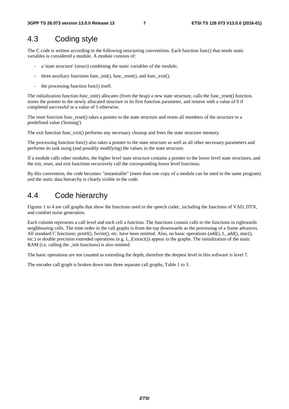# 4.3 Coding style

The C code is written according to the following structuring conventions. Each function func() that needs static variables is considered a module. A module consists of:

- a 'state structure' (struct) combining the static variables of the module;
- three auxiliary functions func\_init(), func\_reset(), and func\_exit();
- the processing function func() itself.

The initialization function func\_init() allocates (from the heap) a new state structure, calls the func\_reset() function, stores the pointer to the newly allocated structure in its first function parameter, and returns with a value of 0 if completed successful or a value of 1 otherwise.

The reset function func reset() takes a pointer to the state structure and resets all members of the structure to a predefined value ('homing').

The exit function func exit() performs any necessary cleanup and frees the state structure memory.

The processing function func() also takes a pointer to the state structure as well as all other necessary parameters and performs its task using (and possibly modifying) the values in the state structure.

If a module calls other modules, the higher level state structure contains a pointer to the lower level state structures, and the init, reset, and exit functions recursively call the corresponding lower level functions.

By this convention, the code becomes "instantiable" (more than one copy of a module can be used in the same program) and the static data hierarchy is clearly visible in the code.

### 4.4 Code hierarchy

Figures 1 to 4 are call graphs that show the functions used in the speech codec, including the functions of VAD, DTX, and comfort noise generation.

Each column represents a call level and each cell a function. The functions contain calls to the functions in rightwards neighbouring cells. The time order in the call graphs is from the top downwards as the processing of a frame advances. All standard C functions: printf(), fwrite(), etc. have been omitted. Also, no basic operations (add(), L\_add(), mac(), etc.) or double precision extended operations (e.g. L\_Extract()) appear in the graphs. The initialization of the static RAM (i.e. calling the \_init functions) is also omitted.

The basic operations are not counted as extending the depth, therefore the deepest level in this software is level 7.

The encoder call graph is broken down into three separate call graphs, Table 1 to 3.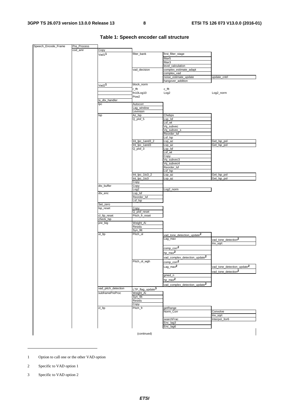| Speech_Encode_Frame | Pre_Process |                     |                              |                                           |                                        |
|---------------------|-------------|---------------------|------------------------------|-------------------------------------------|----------------------------------------|
|                     | cod_amr     | Copy                |                              |                                           |                                        |
|                     |             | Vad1 <sup>1</sup>   | filter_bank                  | first_filter_stage                        |                                        |
|                     |             |                     |                              | filter5                                   |                                        |
|                     |             |                     |                              | filter3                                   |                                        |
|                     |             |                     |                              | level_calculation                         |                                        |
|                     |             |                     | vad_decision                 | complex_estimate_adapt                    |                                        |
|                     |             |                     |                              |                                           |                                        |
|                     |             |                     |                              | complex_vad                               |                                        |
|                     |             |                     |                              | noise_estimate_update                     | update_cntrl                           |
|                     |             |                     |                              | hangover_addition                         |                                        |
|                     |             | Vad2 <sup>1</sup>   | block_norm                   |                                           |                                        |
|                     |             |                     | r_fft                        | c_fft                                     |                                        |
|                     |             |                     | fn10Log10                    | Log <sub>2</sub>                          | Log2_norm                              |
|                     |             |                     | Pow <sub>2</sub>             |                                           |                                        |
|                     |             | tx_dtx_handler      |                              |                                           |                                        |
|                     |             | lpc                 | Autocorr                     |                                           |                                        |
|                     |             |                     | Lag_window                   |                                           |                                        |
|                     |             |                     | Levinson                     |                                           |                                        |
|                     |             | Isp                 | Az_Isp                       | Chebps                                    |                                        |
|                     |             |                     | $Q$ _plsf_5                  | Lsp_lsf                                   |                                        |
|                     |             |                     |                              | Lsf_wt                                    |                                        |
|                     |             |                     |                              | Vq_subvec                                 |                                        |
|                     |             |                     |                              | Vq_subvec_s                               |                                        |
|                     |             |                     |                              | Reorder_Isf                               |                                        |
|                     |             |                     |                              | Lsf_lsp                                   |                                        |
|                     |             |                     | Int_lpc_1and3_2              | Lsp_az                                    | Get_Isp_pol                            |
|                     |             |                     | Int_lpc_1and3                |                                           |                                        |
|                     |             |                     |                              | Lsp_az                                    | Get_Isp_pol                            |
|                     |             |                     | $Q$ _plsf_3                  | Lsp_lsf                                   |                                        |
|                     |             |                     |                              | Lsf wt                                    |                                        |
|                     |             |                     |                              | Copy                                      |                                        |
|                     |             |                     |                              | Vq_subvec3                                |                                        |
|                     |             |                     |                              | Vq_subvec4                                |                                        |
|                     |             |                     |                              | Reorder_Isf                               |                                        |
|                     |             |                     |                              | Lsf_lsp                                   |                                        |
|                     |             |                     | Int_Ipc_1to3_2               | Lsp_az                                    | Get_Isp_pol                            |
|                     |             |                     | Int_Ipc_1to3                 | Lsp_az                                    | Get_Isp_pol                            |
|                     |             |                     | Copy                         |                                           |                                        |
|                     |             | dtx_buffer          | Copy                         |                                           |                                        |
|                     |             |                     | Log <sub>2</sub>             | Log2_norm                                 |                                        |
|                     |             | dtx_enc             | Lsp_lsf                      |                                           |                                        |
|                     |             |                     | Reorder_Isf                  |                                           |                                        |
|                     |             |                     | Lsf_lsp                      |                                           |                                        |
|                     |             | Set_zero            |                              |                                           |                                        |
|                     |             | Isp_reset           | Copy                         |                                           |                                        |
|                     |             |                     | Q_plsf_reset                 |                                           |                                        |
|                     |             | cl_ltp_reset        | Pitch_fr_reset               |                                           |                                        |
|                     |             | check_lsp           |                              |                                           |                                        |
|                     |             | pre_big             | Weight_Ai                    |                                           |                                        |
|                     |             |                     | Residu                       |                                           |                                        |
|                     |             |                     | Syn_filt                     |                                           |                                        |
|                     |             | $ol$ _Itp           | Pitch_ol                     | vad_tone_detection_update <sup>2</sup>    |                                        |
|                     |             |                     |                              |                                           |                                        |
|                     |             |                     |                              | Lag_max                                   | vad_tone_detection <sup>2</sup>        |
|                     |             |                     |                              |                                           | Inv_sqrt                               |
|                     |             |                     |                              | $comp\_corr2$                             |                                        |
|                     |             |                     |                              | $hp_max^2$                                |                                        |
|                     |             |                     |                              |                                           |                                        |
|                     |             |                     |                              | vad_complex_detection_update <sup>2</sup> |                                        |
|                     |             |                     | Pitch_ol_wgh                 | comp_corr <sup>2</sup>                    |                                        |
|                     |             |                     |                              | $Lag\_max^2$                              | vad_tone_detection_update <sup>2</sup> |
|                     |             |                     |                              |                                           | vad_tone_detection <sup>2</sup>        |
|                     |             |                     |                              |                                           |                                        |
|                     |             |                     |                              | gmed_n                                    |                                        |
|                     |             |                     |                              | hp_max $^2$                               |                                        |
|                     |             |                     |                              | vad_complex_detection_update <sup>2</sup> |                                        |
|                     |             | vad_pitch_detection | LTP_flag_update <sup>3</sup> |                                           |                                        |
|                     |             | subframePreProc     | Weight_Ai                    |                                           |                                        |
|                     |             |                     | Syn_filt                     |                                           |                                        |
|                     |             |                     | Residu                       |                                           |                                        |
|                     |             |                     | Copy                         |                                           |                                        |
|                     |             |                     |                              |                                           |                                        |
|                     |             | cl_ltp              | Pitch_fr                     | getRange                                  |                                        |
|                     |             |                     |                              | Norm_Corr                                 | Convolve                               |
|                     |             |                     |                              |                                           | Inv_sqrt                               |
|                     |             |                     |                              | searchFrac                                | Interpol_3or6                          |
|                     |             |                     |                              | Enc_lag3                                  |                                        |
|                     |             |                     |                              | Enc_lag6                                  |                                        |
|                     |             |                     |                              |                                           |                                        |
|                     |             |                     | (continued)                  |                                           |                                        |

**Table 1: Speech encoder call structure** 

2 Specific to VAD option 1

-

3 Specific to VAD option 2

<sup>1</sup> Option to call one or the other VAD option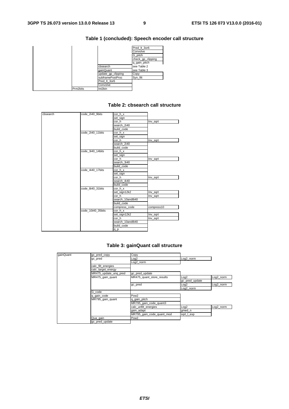|          |                    | Pred It 3or6      |
|----------|--------------------|-------------------|
|          |                    | Convolve          |
|          |                    | G pitch           |
|          |                    | check_gp_clipping |
|          |                    | q_gain_pitch      |
|          | cbsearch           | see Table 2       |
|          | gainQuant          | see Table 3       |
|          | update_gp_clipping | Copy              |
|          | subframePostProc   | Syn filt          |
|          | Pred It 3or6       |                   |
|          | Convolve           |                   |
| Prm2bits | Int2bin            |                   |

#### **Table 1 (concluded): Speech encoder call structure**

| cbsearch | code_2i40_9bits   | cor_h_x          |            |
|----------|-------------------|------------------|------------|
|          |                   | set_sign         |            |
|          |                   | cor h            | Inv_sqrt   |
|          |                   | search_2i40      |            |
|          |                   | build code       |            |
|          | code 2i40 11bits  | cor h x          |            |
|          |                   | set_sign         |            |
|          |                   | cor_h            | Inv_sqrt   |
|          |                   | search 2i40      |            |
|          |                   | build code       |            |
|          | code 3i40 14bits  | cor h x          |            |
|          |                   | set_sign         |            |
|          |                   | cor h            | Inv_sqrt   |
|          |                   | search 3i40      |            |
|          |                   | build code       |            |
|          | code 4i40 17bits  | cor h x          |            |
|          |                   | set_sign         |            |
|          |                   | cor h            | Inv_sqrt   |
|          |                   | search 4i40      |            |
|          |                   | build code       |            |
|          | code 8i40 31bits  | cor_h_x          |            |
|          |                   | set_sign12k2     | Inv_sqrt   |
|          |                   | cor h            | Inv_sqrt   |
|          |                   | search 10and8i40 |            |
|          |                   | build code       |            |
|          |                   | compress_code    | compress10 |
|          | code 10i40 35bits | cor h x          |            |
|          |                   | set sign12k2     | Inv_sqrt   |
|          |                   | cor_h            | Inv_sqrt   |
|          |                   | search 10and8i40 |            |
|          |                   | build code       |            |
|          |                   | $q_p$            |            |
|          |                   |                  |            |

#### **Table 2: cbsearch call structure**

#### **Table 3: gainQuant call structure**

| gainQuant | gc_pred_copy          | Copy                      |                |           |
|-----------|-----------------------|---------------------------|----------------|-----------|
|           | gc_pred               | Log2                      | Log2_norm      |           |
|           |                       | Log2_norm                 |                |           |
|           | calc_filt_energies    |                           |                |           |
|           | calc_target_energy    |                           |                |           |
|           | MR475_update_unq_pred | gc_pred_update            |                |           |
|           | MR475_gain_quant      | MR475_quant_store_results | Log2           | Log2 norm |
|           |                       |                           | gc_pred_update |           |
|           |                       | gc_pred                   | Log2           | Log2_norm |
|           |                       |                           | Log2_norm      |           |
|           | G code                |                           |                |           |
|           | q_gain_code           | Pow <sub>2</sub>          |                |           |
|           | MR795_gain_quant      | q_gain_pitch              |                |           |
|           |                       | MR795_gain_code_quant3    |                |           |
|           |                       | calc_unfilt_energies      | Log2           | Log2_norm |
|           |                       | gain_adapt                | gmed_n         |           |
|           |                       | MR795_gain_code_quant_mod | sqrt_l_exp     |           |
|           | Qua_gain              | Pow <sub>2</sub>          |                |           |
|           | gc_pred_update        |                           |                |           |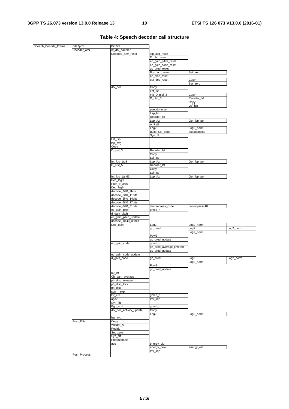| Speech_Decode_Frame | Bits2prm     | Bin2int                 |                         |                  |             |
|---------------------|--------------|-------------------------|-------------------------|------------------|-------------|
|                     | Decoder_amr  | rx_dtx_handler          |                         |                  |             |
|                     |              | Decoder_amr_reset       | lsp_avg_reset           |                  |             |
|                     |              |                         | D_plsf_reset            |                  |             |
|                     |              |                         | ec_gain_pitch_reset     |                  |             |
|                     |              |                         | ec_gain_code_reset      |                  |             |
|                     |              |                         | gc_pred_reset           | Set_zero         |             |
|                     |              |                         | Bgn_scd_reset           |                  |             |
|                     |              |                         | ph_disp_reset           |                  |             |
|                     |              |                         | dtx_dec_reset           | Copy             |             |
|                     |              | dtx_dec                 |                         | Set_zero         |             |
|                     |              |                         | Copy<br>Lsf_Isp         |                  |             |
|                     |              |                         | Init_D_plsf_3           | Copy             |             |
|                     |              |                         | D_plsf_3                | Reorder_Isf      |             |
|                     |              |                         |                         | Copy             |             |
|                     |              |                         |                         | Lsf_lsp          |             |
|                     |              |                         | pseudonoise             |                  |             |
|                     |              |                         | Lsp_lsf                 |                  |             |
|                     |              |                         | Reorder_Isf             |                  |             |
|                     |              |                         | Lsp_Az                  | Get_Isp_pol      |             |
|                     |              |                         | A_Refl                  |                  |             |
|                     |              |                         | Log2                    | Log2_norm        |             |
|                     |              |                         | Build_CN_code           | pseudonoise      |             |
|                     |              |                         | Syn_filt                |                  |             |
|                     |              | Lsf_Isp                 |                         |                  |             |
|                     |              | Isp_avg                 |                         |                  |             |
|                     |              | Copy                    |                         |                  |             |
|                     |              | $D$ _plsf_3             | Reorder_Isf             |                  |             |
|                     |              |                         | Copy                    |                  |             |
|                     |              |                         | Lsf_lsp                 |                  |             |
|                     |              | Int_lpc_1to3            | Lsp_Az                  | Get_Isp_pol      |             |
|                     |              | D_plsf_5                | Reorder_Isf             |                  |             |
|                     |              |                         | Copy                    |                  |             |
|                     |              |                         | Lsf_lsp                 |                  |             |
|                     |              | Int_lpc_1and3           | Lsp_Az                  | Get_Isp_pol      |             |
|                     |              | Dec_lag3                |                         |                  |             |
|                     |              | Pred_lt_3or6            |                         |                  |             |
|                     |              | Dec_lag6                |                         |                  |             |
|                     |              | decode_2i40_9bits       |                         |                  |             |
|                     |              | decode_2i40_11bits      |                         |                  |             |
|                     |              | decode_3i40_14bits      |                         |                  |             |
|                     |              | decode_4i40_17bits      |                         |                  |             |
|                     |              | decode_8i40_31bits      | decompress_code         | decompress10     |             |
|                     |              | ec_gain_pitch           | gmed_n                  |                  |             |
|                     |              | d_gain_pitch            |                         |                  |             |
|                     |              | ec_gain_pitch_update    |                         |                  |             |
|                     |              | decode_10i40_35bits     |                         |                  |             |
|                     |              | Dec_gain                | Log <sub>2</sub>        | Log2_norm        |             |
|                     |              |                         | gc_pred                 | Log <sub>2</sub> | Log2_norm   |
|                     |              |                         |                         |                  |             |
|                     |              |                         |                         | Log2_norm        |             |
|                     |              |                         | Pow <sub>2</sub>        |                  |             |
|                     |              |                         | gc_pred_update          |                  |             |
|                     |              | ec_gain_code            | gmed_n                  |                  |             |
|                     |              |                         | gc_pred_average_limeted |                  |             |
|                     |              |                         | gc_pred_update          |                  |             |
|                     |              | ec_gain_code_update     |                         |                  |             |
|                     |              |                         | gc_pred                 | In <sub>0</sub>  | $1002$ norm |
|                     |              | d_gain_code             |                         | Log2_norm        |             |
|                     |              |                         | Pow <sub>2</sub>        |                  |             |
|                     |              |                         | gc_pred_update          |                  |             |
|                     |              | $Int$ <sub>Sf</sub>     |                         |                  |             |
|                     |              | Cb_gain_average         |                         |                  |             |
|                     |              | ph_disp_release         |                         |                  |             |
|                     |              | ph_disp_lock            |                         |                  |             |
|                     |              | ph_disp                 |                         |                  |             |
|                     |              | sqrt_I_exp              |                         |                  |             |
|                     |              | $Ex_c$ ctrl             | gmed_n                  |                  |             |
|                     |              | agc2                    | Inv_sqrt                |                  |             |
|                     |              | Syn_filt                |                         |                  |             |
|                     |              | Bgn_scd                 | gmed_n                  |                  |             |
|                     |              | dtx_dec_activity_update | Copy                    |                  |             |
|                     |              |                         | Log <sub>2</sub>        | Log2_norm        |             |
|                     |              | Isp_avg                 |                         |                  |             |
|                     | Post_Filter  | Copy                    |                         |                  |             |
|                     |              | Weight_Ai               |                         |                  |             |
|                     |              | Residu                  |                         |                  |             |
|                     |              | Set_zero                |                         |                  |             |
|                     |              | Syn_filt                |                         |                  |             |
|                     |              | Preemphasis             |                         |                  |             |
|                     |              | agc                     | energy_old              |                  |             |
|                     |              |                         | energy_new              | energy_old       |             |
|                     | Post_Process |                         | Inv_sqrt                |                  |             |

#### **Table 4: Speech decoder call structure**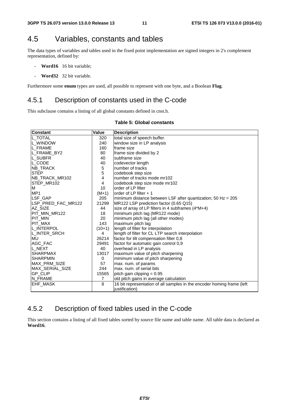# 4.5 Variables, constants and tables

The data types of variables and tables used in the fixed point implementation are signed integers in 2's complement representation, defined by:

- **Word16** 16 bit variable;
- **Word32** 32 bit variable.

Furthermore some **enum** types are used, all possible to represent with one byte, and a Boolean **Flag**.

#### 4.5.1 Description of constants used in the C-code

This subclause contains a listing of all global constants defined in cnst.h.

| <b>Constant</b>       | <b>Value</b>   | <b>Description</b>                                                     |
|-----------------------|----------------|------------------------------------------------------------------------|
| L_TOTAL               | 320            | total size of speech buffer.                                           |
| L_WINDOW              | 240            | window size in LP analysis                                             |
| L FRAME               | 160            | frame size                                                             |
| L_FRAME_BY2           | 80             | frame size divided by 2                                                |
| L_SUBFR               | 40             | subframe size                                                          |
| IL CODE               | 40             | codevector length                                                      |
| NB_TRACK              | $\mathbf 5$    | number of tracks                                                       |
| <b>STEP</b>           | 5              | codebook step size                                                     |
| <b>NB TRACK MR102</b> | 4              | number of tracks mode mr102                                            |
| STEP MR102            | 4              | codebook step size mode mr102                                          |
| M                     | 10             | order of LP filter                                                     |
| MP <sub>1</sub>       | $(M+1)$        | order of LP filter + 1                                                 |
| LSF_GAP               | 205            | minimum distance between LSF after quantization; 50 Hz = $205$         |
| LSP_PRED_FAC_MR122    | 21299          | MR122 LSP prediction factor (0.65 Q15)                                 |
| AZ SIZE               | 44             | size of array of LP filters in 4 subframes (4*M+4)                     |
| <b>PIT MIN MR122</b>  | 18             | minimum pitch lag (MR122 mode)                                         |
| PIT_MIN               | 20             | minimum pitch lag (all other modes)                                    |
| <b>PIT MAX</b>        | 143            | maximum pitch lag                                                      |
| L_INTERPOL            | $(10+1)$       | length of filter for interpolation                                     |
| L_INTER_SRCH          | 4              | length of filter for CL LTP search interpolation                       |
| IMU.                  | 26214          | factor for tilt compensation filter 0,8                                |
| AGC_FAC               | 29491          | factor for automatic gain control 0,9                                  |
| L_NEXT                | 40             | overhead in LP analysis                                                |
| ISHARPMAX             | 13017          | maximum value of pitch sharpening                                      |
| <b>SHARPMIN</b>       | 0              | minimum value of pitch sharpening                                      |
| <b>MAX PRM SIZE</b>   | 57             | max. num. of params                                                    |
| IMAX SERIAL SIZE      | 244            | max, num, of serial bits                                               |
| IGP CLIP              | 15565          | pitch gain clipping = 0.95                                             |
| N_FRAME               | $\overline{7}$ | old pitch gains in average calculation                                 |
| EHF_MASK              | 8              | 16 bit representation of all samples in the encoder homing frame (left |
|                       |                | justification)                                                         |

#### **Table 5: Global constants**

### 4.5.2 Description of fixed tables used in the C-code

This section contains a listing of all fixed tables sorted by source file name and table name. All table data is declared as **Word16**.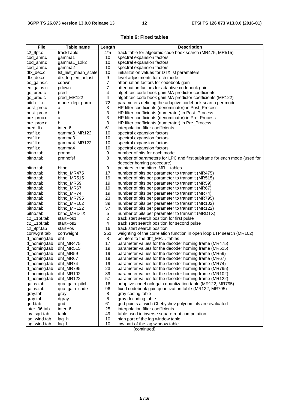#### **Table 6: Fixed tables**

| <b>File</b>                  | Table name          | Length           | <b>Description</b>                                                                     |  |
|------------------------------|---------------------|------------------|----------------------------------------------------------------------------------------|--|
| c2_9pf.c                     | trackTable          | $4*5$            | track table for algebraic code book search (MR475, MR515)                              |  |
| cod_amr.c                    | gamma1              | 10               | spectral expansion factors                                                             |  |
| cod_amr.c                    | gamma1_12k2         | 10               | spectral expansion factors                                                             |  |
| cod_amr.c                    | gamma2              | 10               | spectral expansion factors                                                             |  |
| dtx_dec.c                    | lsf_hist_mean_scale | 10               | initialization values for DTX Isf parameters                                           |  |
| dtx_dec.c                    | dtx_log_en_adjust   | 9                | level adjustments for ech mode                                                         |  |
| ec_gains.c                   | cdown               | 7                | attenuation factors for codebook gain                                                  |  |
| ec_gains.c                   | pdown               | 7                | attenuation factors for adaptive codebook gain                                         |  |
| gc_pred.c                    | pred                | 4                | algebraic code book gain MA predictor coefficients                                     |  |
| gc_pred.c                    | pred_MR122          | 4                | algebraic code book gain MA predictor coefficients (MR122)                             |  |
| pitch_fr.c                   | mode_dep_parm       | 72               | parameters defining the adaptive codebook search per mode                              |  |
| post_pro.c                   | a                   | 3                | HP filter coefficients (denominator) in Post_Process                                   |  |
| post_pro.c                   | b                   | 3                | HP filter coefficients (numerator) in Post_Process                                     |  |
| pre_proc.c                   | a                   | 3                | HP filter coefficients (denominator) in Pre_Process                                    |  |
| pre_proc.c                   | b                   | 3                | HP filter coefficients (numerator) in Pre_Process                                      |  |
| pred_lt.c                    | inter <sub>6</sub>  | 61               | interpolation filter coefficients                                                      |  |
| pstfilt.c                    | gamma3_MR122        | 10               | spectral expansion factors                                                             |  |
| pstfilt.c                    | gamma3              | 10               | spectral expansion factors                                                             |  |
| pstfilt.c                    | gamma4_MR122        | 10               | spectral expansion factors                                                             |  |
| pstfilt.c                    | gamma4              | 10               | spectral expansion factors                                                             |  |
| bitno.tab                    | prmno               | 9                | Inumber of bits for each mode                                                          |  |
| bitno.tab                    | prmnofsf            | 8                | number of parameters for LPC and first subframe for each mode (used for                |  |
|                              |                     |                  | decoder homing procedure)                                                              |  |
| bitno.tab                    | bitno               | 9                | pointers to the bitno_MR tables                                                        |  |
| bitno.tab                    | bitno_MR475         | 17               | number of bits per parameter to transmit (MR475)                                       |  |
| bitno.tab                    | bitno_MR515         | 19               | number of bits per parameter to transmit (MR515)                                       |  |
| bitno.tab                    | bitno_MR59          | 19               | number of bits per parameter to transmit (MR59)                                        |  |
| bitno.tab                    | bitno_MR67          | 19               | number of bits per parameter to transmit (MR67)                                        |  |
| bitno.tab                    | bitno_MR74          | 19               | number of bits per parameter to transmit (MR74)                                        |  |
| bitno.tab                    | bitno_MR795         | 23               | number of bits per parameter to transmit (MR795)                                       |  |
| bitno.tab                    | bitno_MR102         | 39               | number of bits per parameter to transmit (MR102)                                       |  |
| bitno.tab                    | bitno_MR122         | 57               | number of bits per parameter to transmit (MR122)                                       |  |
| bitno.tab                    | bitno_MRDTX         | 5                | number of bits per parameter to transmit (MRDTX)                                       |  |
| c2_11pf.tab                  | startPos1           | $\boldsymbol{2}$ | track start search position for first pulse                                            |  |
| c2_11pf.tab                  | startPos2           | 4                | track start search position for second pulse                                           |  |
| c2_9pf.tab                   | startPos            | 16               | track start search position                                                            |  |
| corrwght.tab                 | corrweight<br>dhf   | 251              | weighting of the correlation function in open loop LTP search (MR102)                  |  |
| d_homing.tab                 | dhf_MR475           | 8<br>17          | pointers to the dhf_MR tables<br>parameter values for the decoder homing frame (MR475) |  |
| d_homing.tab                 | dhf_MR515           | 19               | parameter values for the decoder homing frame (MR515)                                  |  |
| d_homing.tab<br>d_homing.tab | dhf_MR59            | 19               | parameter values for the decoder homing frame (MR59)                                   |  |
| d_homing.tab                 | dhf_MR67            | 19               | parameter values for the decoder homing frame (MR67)                                   |  |
| d_homing.tab                 | dhf_MR74            | 19               | parameter values for the decoder homing frame (MR74)                                   |  |
| d_homing.tab                 | dhf_MR795           | 23               | parameter values for the decoder homing frame (MR795)                                  |  |
| d_homing.tab                 | dhf_MR102           | 39               | parameter values for the decoder homing frame (MR102)                                  |  |
| d_homing.tab                 | dhf_MR122           | 57               | parameter values for the decoder homing frame (MR122)                                  |  |
| gains.tab                    | qua_gain_pitch      | 16               | adaptive codebook gain quantization table (MR122, MR795)                               |  |
| gains.tab                    | qua_gain_code       | 96               | fixed codebook gain quantization table (MR122, MR795)                                  |  |
| gray.tab                     | gray                | 8                | gray coding table                                                                      |  |
| gray.tab                     | dgray               | 8                | gray decoding table                                                                    |  |
| grid.tab                     | grid                | 61               | grid points at wich Chebyshev polynomials are evaluated                                |  |
| inter_36.tab                 | inter_6             | 25               | interpolation filter coefficients                                                      |  |
| inv_sqrt.tab                 | table               | 49               | table used in inverse square root computation                                          |  |
| lag_wind.tab                 | $lag_h$             | 10               | high part of the lag window table                                                      |  |
| lag_wind.tab                 | lag_l               | 10               | low part of the lag window table                                                       |  |

(continued)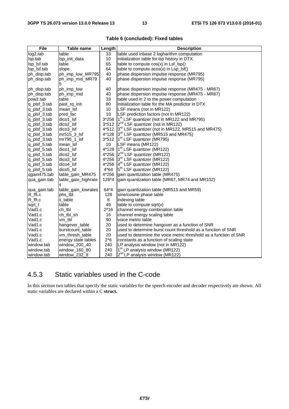| File               | Table name               | Length  | <b>Description</b>                                                |
|--------------------|--------------------------|---------|-------------------------------------------------------------------|
| log2.tab           | table                    | 33      | table used inbase 2 logharithm computation                        |
| Isp.tab            | Isp_init_data            | 10      | initialization table for lsp history in DTX                       |
| lsp_lsf.tab        | table                    | 65      | table to compute $cos(x)$ in $Lsf\_lsp()$                         |
| lsp_lsf.tab        | slope                    | 64      | table to compute $acos(x)$ in $Lsp_lsf()$                         |
| ph_disp.tab        | ph_imp_low_MR795         | 40      | phase dispersion impulse response (MR795)                         |
| ph_disp.tab        | ph imp mid MR79<br>5     | 40      | phase dispersion impulse response (MR795)                         |
| ph_disp.tab        | ph_imp_low               | 40      | phase dispersion impulse response (MR475 - MR67)                  |
| ph_disp.tab        | ph_imp_mid               | 40      | phase dispersion impulse response (MR475 - MR67)                  |
| pow2.tab           | table                    | 33      | table used in 2 to the power computation                          |
| q_plsf_3.tab       | past_rq_init             | 80      | initialization table for the MA predictor in DTX                  |
| q_plsf_3.tab       | mean_lsf                 | 10      | LSF means (not in MR122)                                          |
| q_plsf_3.tab       | pred fac                 | 10      | LSF prediction factors (not in MR122)                             |
| q_plsf_3.tab       | dico1_lsf                | 3*256   | 1 <sup>st</sup> LSF quantizer (not in MR122 and MR795)            |
| q_plsf_3.tab       | dico <sub>2</sub> Isf    | $3*512$ | $2^{nd}$ LSF quantizer (not in MR122)                             |
| q_plsf_3.tab       | dico3_lsf                | 4*512   | $3rd$ LSF quantizer (not in MR122, MR515 and MR475)               |
| q_plsf_3.tab       | $mr515$ 3 lsf            | 4*128   | $3rd$ LSF quantizer (MR515 and MR475)                             |
| q_plsf_3.tab       | mr795_1_lsf              |         | $3*512$   $1st$ LSF quantizer (MR795)                             |
| q_plsf_5.tab       | mean Isf                 | 10      | LSF means (MR122)                                                 |
| q_plsf_5.tab       | dico1_lsf                | 4*128   | $1st LSF$ quantizer (MR122)                                       |
| q_plsf_5.tab       | dico <sub>2</sub> Isf    | 4*256   | 2 <sup>nd</sup> LSF quantizer (MR122)                             |
| q_plsf_5.tab       | dico3_lsf                | 4*256   | 3rd LSF quantizer (MR122)                                         |
| q_plsf_5.tab       | dico4_lsf                | 4*256   | $4th$ LSF quantizer (MR122)                                       |
| q_plsf_5.tab       | dico <sub>5_lsf</sub>    | $4*64$  | 5 <sup>th</sup> LSF quantizer (MR122)                             |
| qgain475.tab       | table_gain_MR475         | 4*256   | gain quantization table (MR475)                                   |
| qua_gain.tab       | table_gain_highrate<br>s | 128*4   | gain quantization table (MR67, MR74 and MR102)                    |
| qua_gain.tab       | table_gain_lowrates      | 64*4    | gain quantization table (MR515 and MR59)                          |
| R_fft.c            | phs_tbl                  | 128     | sine/cosine phase table                                           |
| $R_{\text{fft.c}}$ | ii_table                 | 8       | indexing table                                                    |
| sqrt_l             | table                    | 49      | table to compute sqrt $(x)$                                       |
| Vad1.c             | ch_tbl                   | $2*16$  | channel energy combination table                                  |
| Vad1.c             | ch tbl sh                | 16      | channel energy scaling table                                      |
| Vad1.c             | vm_tbl                   | 90      | voice metric table                                                |
| Vad1.c             | hangover_table           | 20      | used to determine hangover as a function of SNR                   |
| Vad1.c             | burstcount_table         | 20      | used to determine burst count threshold as a function of SNR      |
| Vad1.c             | vm_thresh_table          | 20      | used to determine the voice metric threshold as a function of SNR |
| Vad1.c             | energy state tables      | $2*6$   | constants as a function of scaling state                          |
| window.tab         | window_200_40            | 240     | LP analysis window (not in MR122)                                 |
| window.tab         | window_160_80            | 240     | 1 <sup>st</sup> LP analysis window (MR122)                        |
| window.tab         | window_232_8             | 240     | 2 <sup>nd</sup> LP analysis window (MR122)                        |

#### **Table 6 (concluded): Fixed tables**

# 4.5.3 Static variables used in the C-code

In this section two tables that specify the static variables for the speech encoder and decoder respectively are shown. All static variables are declared within a C **struct.**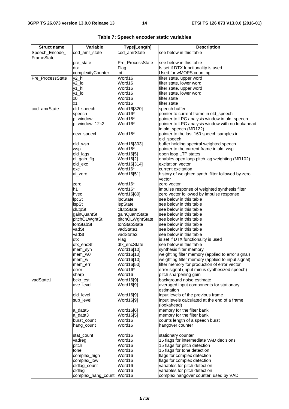| <b>Struct name</b> | Variable           | Type[Length]           | <b>Description</b>                                                                  |
|--------------------|--------------------|------------------------|-------------------------------------------------------------------------------------|
| Speech_Encode_     | cod_amr_state      | cod_amrState           | see below in this table                                                             |
| FrameState         |                    |                        |                                                                                     |
|                    | pre_state          | Pre_ProcessState       | see below in this table                                                             |
|                    | dtx                | Flag                   | Is set if DTX functionality is used                                                 |
|                    | complexityCounter  | int                    | Used for wMOPS counting                                                             |
| Pre_ProcessState   | y2_hi              | Word16                 | filter state, upper word                                                            |
|                    | $y2$ _lo           | Word16                 | filter state, lower word                                                            |
|                    | y1_hi              | Word16                 | filter state, upper word                                                            |
|                    | y1_lo              | Word16                 | filter state, lower word                                                            |
|                    | x <sub>0</sub>     | Word16                 | filter state                                                                        |
|                    | x1                 | Word16                 | filter state                                                                        |
| cod_amrState       | old_speech         | Word16[320]            | speech buffer                                                                       |
|                    | speech             | Word16*                | pointer to current frame in old_speech                                              |
|                    | p window           | Word16*                | pointer to LPC analysis window in old_speech                                        |
|                    | p_window_12k2      | Word16*                | pointer to LPC analysis window with no lookahead                                    |
|                    |                    |                        | in old_speech (MR122)                                                               |
|                    | new_speech         | Word16*                | pointer to the last 160 speech samples in                                           |
|                    |                    |                        | old_speech                                                                          |
|                    | old_wsp            | Word16[303]            | buffer holding spectral weighted speech                                             |
|                    | wsp                | Word16*                | pointer to the current frame in old_wsp                                             |
|                    | old_lags           | Word16[5]              | open loop LTP states                                                                |
|                    | ol_gain_flg        | Word16[2]              | enables open loop pitch lag weighting (MR102)                                       |
|                    | old_exc            | Word16[314]<br>Word16* | excitation vector<br>current excitation                                             |
|                    | exc<br>ai zero     | Word16[51]             | history of weighted synth. filter followed by zero                                  |
|                    |                    |                        | vector                                                                              |
|                    | zero               | Word16*                | zero vector                                                                         |
|                    | h1                 | Word16*                | impulse response of weighted synthesis filter                                       |
|                    | hvec               | Word16[80]             | zero vector followed by impulse response                                            |
|                    | <b>lpcSt</b>       | IpcState               | see below in this table                                                             |
|                    | <b>IspSt</b>       | IspState               | see below in this table                                                             |
|                    | clLtpSt            | clLtpState             | see below in this table                                                             |
|                    | gainQuantSt        | gainQuantState         | see below in this table                                                             |
|                    | pitchOLWghtSt      | pitchOLWghtState       | see below in this table                                                             |
|                    | tonStabSt          | tonStabState           | see below in this table                                                             |
|                    | vadSt              | vadState1              | see below in this table                                                             |
|                    | vadSt              | vadState2              | see below in this table                                                             |
|                    | dtx                | Flag                   | is set if DTX functionality is used                                                 |
|                    | dtx encSt          | dtx_encState           | see below in this table                                                             |
|                    | mem_syn            | Word16[10]             | synthesis filter memory                                                             |
|                    | mem_w0             | Word16[10]             | weighting filter memory (applied to error signal)                                   |
|                    | mem_w              | Word16[10]             | weighting filter memory (applied to input signal)                                   |
|                    | mem_err            | Word16[50]             | filter memory for production of error vector                                        |
|                    | error              | Word16*                | error signal (input minus synthesized speech)                                       |
|                    | sharp              | Word16                 | pitch sharpening gain                                                               |
| vadState1          | bckr_est           | Word16[9]              | background noise estimate                                                           |
|                    | ave_level          | Word16[9]              | averaged input components for stationary                                            |
|                    |                    |                        | estimation                                                                          |
|                    | old level          | Word16[9]              | input levels of the previous frame<br>input levels calculated at the end of a frame |
|                    | sub_level          | Word16[9]              | (lookahead)                                                                         |
|                    | a data5            | Word16[6]              | memory for the filter bank                                                          |
|                    | a data3            | Word16[5]              | memory for the filter bank                                                          |
|                    | burst_count        | Word16                 | counts length of a speech burst                                                     |
|                    | hang_count         | Word16                 | hangover counter                                                                    |
|                    |                    |                        |                                                                                     |
|                    | stat_count         | Word16                 | stationary counter                                                                  |
|                    | vadreg             | Word16                 | 15 flags for intermediate VAD decisions                                             |
|                    | pitch              | Word16                 | 15 flags for pitch detection                                                        |
|                    | tone               | Word16                 | 15 flags for tone detection                                                         |
|                    | complex_high       | Word16                 | flags for complex detection                                                         |
|                    | complex_low        | Word16                 | flags for complex detection                                                         |
|                    | oldlag_count       | Word16                 | variables for pitch detection                                                       |
|                    | oldlag             | Word16                 | variables for pitch detection                                                       |
|                    | complex_hang_count | Word16                 | complex hangover counter, used by VAD                                               |

| Table 7: Speech encoder static variables |  |  |  |
|------------------------------------------|--|--|--|
|------------------------------------------|--|--|--|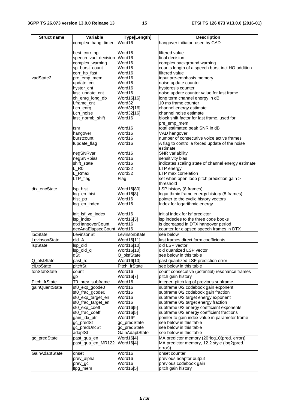| <b>Struct name</b> | Variable            | Type[Length]   | <b>Description</b>                                 |
|--------------------|---------------------|----------------|----------------------------------------------------|
|                    | complex_hang_timer  | Word16         | hangover initiator, used by CAD                    |
|                    |                     |                |                                                    |
|                    | best_corr_hp        | Word16         | filtered value                                     |
|                    | speech_vad_decision | Word16         | final decision                                     |
|                    | complex_warning     | Word16         | complex background warning                         |
|                    | sp_burst_count      | Word16         | counts length of a speech burst incl HO addition   |
|                    | corr_hp_fast        | Word16         | filtered value                                     |
| vadState2          | pre_emp_mem         | Word16         | input pre-emphasis memory                          |
|                    | update_cnt          | Word16         | noise update counter                               |
|                    | hyster_cnt          | Word16         | hysteresis counter                                 |
|                    | last_update_cnt     | Word16         | noise update counter value for last frame          |
|                    | ch_enrg_long_db     | Word16[16]     | long term channel energy in dB                     |
|                    | Lframe_cnt          | Word32         | 10 ms frame counter                                |
|                    | Lch_enrg            | Word32[16]     | channel energy estimate                            |
|                    | Lch_noise           | Word32[16]     | channel noise estimate                             |
|                    | last_normb_shift    | Word16         | block shift factor for last frame, used for        |
|                    |                     |                | pre_emp_mem                                        |
|                    | tsnr                | Word16         | total estimated peak SNR in dB                     |
|                    | hangover            | Word16         | VAD hangover                                       |
|                    | burstcount          | Word16         | number of consecutive voice active frames          |
|                    | fupdate_flag        | Word16         | A flag to control a forced update of the noise     |
|                    |                     |                | estimate                                           |
|                    | negSNRvar           | Word16         | <b>SNR</b> variability                             |
|                    | negSNRbias          | Word16         | sensitivity bias                                   |
|                    | shift_state         | Word16         | indicates scaling state of channel energy estimate |
|                    | L_R <sub>0</sub>    | Word32         | LTP energy                                         |
|                    | L_Rmax              | Word32         | LTP max correlation                                |
|                    | LTP_flag            | Flag           | set when open loop pitch prediction gain >         |
|                    |                     |                | threshold                                          |
| dtx_encState       | Isp_hist            | Word16[80]     | LSP history (8 frames)                             |
|                    | log_en_hist         | Word16[8]      | logarithmic frame energy history (8 frames)        |
|                    | hist_ptr            | Word16         | pointer to the cyclic history vectors              |
|                    | log_en_index        | Word16         | Index for logarithmic energy                       |
|                    |                     |                |                                                    |
|                    | init_lsf_vq_index   | Word16         | initial index for lsf predictor                    |
|                    | Isp_index           | Word16[3]      | Isp indecies to the three code books               |
|                    | dtxHangoverCount    | Word16         | is decreased in DTX hangover period                |
|                    | decAnaElapsedCount  | Word16         | counter for elapsed speech frames in DTX           |
| IpcState           | LevinsonSt          | LevinsonState  | see below                                          |
| LevinsonState      | old_A               | Word16[11]     | last frames direct form coefficients               |
| <b>IspState</b>    | Isp_old             | Word16[10]     | old LSP vector                                     |
|                    | lsp_old_q           | Word16[10]     | old quantized LSP vector                           |
|                    | qSt                 | Q_plsfState    | see below in this table                            |
| Q_plsfState        | past_rq             | Word16[10]     | past quantized LSF prediction error                |
| clLtpState         | pitchSt             | Pitch_frState  | see below in this table                            |
| tonStabState       | count               | Word16         | count consecutive (potential) resonance frames     |
|                    | gp                  | Word16[7]      | pitch gain history                                 |
| Pitch_frState      | T0_prev_subframe    | Word16         | integer. pitch lag of previous subframe            |
| gainQuantState     | sf0_exp_gcode0      | Word16         | subframe 0/2 codebook gain exponent                |
|                    | sf0_frac_gcode0     | Word16         | subframe 0/2 codebook gain fraction                |
|                    | sf0_exp_target_en   | Word16         | subframe 0/2 target energy exponent                |
|                    | sf0_frac_target_en  | Word16         | subframe 0/2 target energy fraction                |
|                    | sf0_exp_coeff       | Word16[5]      | subframe 0/2 energy coefficient exponents          |
|                    | sf0_frac_coeff      | Word16[5]      | subframe 0/2 energy coefficient fractions          |
|                    | gain_idx_ptr        | Word16*        | pointer to gain index value in parameter frame     |
|                    | gc_predSt           | gc_predState   | see below in this table                            |
|                    | gc_predUncSt        | gc_predState   | see below in this table                            |
|                    | adaptSt             | GainAdaptState | see below in this table                            |
| gc_predState       | past_qua_en         | Word16[4]      | MA predictor memory (20*log10(pred. error))        |
|                    | past_qua_en_MR122   | Word16[4]      | MA predictor memory, 12.2 style (log2(pred.        |
|                    |                     |                | error))                                            |
| GainAdaptState     | onset               | Word16         | onset counter                                      |
|                    | prev_alpha          | Word16         | previous adaptor output                            |
|                    | prev_gc             | Word16         | previous codebook gain                             |
|                    | ltpg_mem            | Word16[5]      | pitch gain history                                 |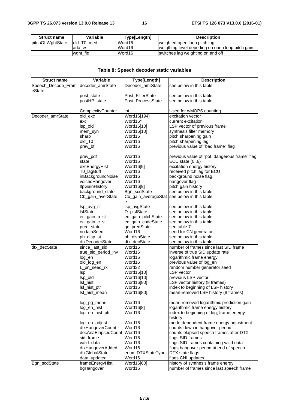| <b>Struct name</b> | Variable    | Type[Length] | <b>Description</b>                               |
|--------------------|-------------|--------------|--------------------------------------------------|
| pitchOLWghtState   | lold T0 med | Word16       | weighted open loop pitch lag                     |
|                    | lada w      | Word16       | weigthing level depeding on open loop pitch gain |
|                    | wght flg    | Word16       | switches lag weighting on and off                |

#### **Table 8: Speech decoder static variables**

| <b>Struct name</b> | Variable              | Type[Length]       | <b>Description</b>                            |
|--------------------|-----------------------|--------------------|-----------------------------------------------|
| Speech_Decode_Fram | decoder_amrState      | Decoder_amrState   | see below in this table                       |
| eState             |                       |                    |                                               |
|                    | post_state            | Post_FilterState   | see below in this table                       |
|                    | postHP_state          | Post ProcessState  | see below in this table                       |
|                    |                       |                    |                                               |
|                    | ComplexityCounter     | int                | Used for wMOPS counting                       |
| Decoder_amrState   | old_exc               | Word16[194]        | excitation vector                             |
|                    | exc                   | Word16*            | current excitation                            |
|                    | Isp_old               | Word16[10]         | LSP vector of previous frame                  |
|                    | mem_syn               | Word16[10]         | synthesis filter memory                       |
|                    | sharp                 | Word16             | pitch sharpening gain                         |
|                    | old_T0                | Word16             | pitch sharpening lag                          |
|                    | prev_bf               | Word16             | previous value of "bad frame" flag            |
|                    |                       |                    |                                               |
|                    | prev_pdf              | Word16             | previous value of "pot. dangerous frame" flag |
|                    | state                 | Word16             | ECU state (06)                                |
|                    | excEnergyHist         | Word16[9]          | excitation energy history                     |
|                    | T0_lagBuff            | Word16             | received pitch lag for ECU                    |
|                    | inBackgroundNoise     | Word16             | background noise flag                         |
|                    | voicedHangover        | Word16             | hangover flag                                 |
|                    | <b>ItpGainHistory</b> | Word16[9]          | pitch gain history                            |
|                    | background_state      | Bgn_scdState       | see below in this table                       |
|                    | Cb_gain_averState     |                    | Cb_gain_averageStat  see below in this table  |
|                    |                       | е                  |                                               |
|                    | lsp_avg_st            | lsp_avgState       | see below in this table                       |
|                    | <b>IsfState</b>       | D_plsfState        | see below in this table                       |
|                    | ec_gain_p_st          | ec_gain_pitchState | see below in this table                       |
|                    | ec_gain_c_st          | ec_gain_codeState  | see below in this table                       |
|                    | pred_state            | gc_predState       | see table 7                                   |
|                    | nodataSeed            | Word16             | seed for CN generator                         |
|                    | ph_disp_st            | ph_dispState       | see below in this table                       |
|                    | dtxDecoderState       | dtx_decState       | see below in this table                       |
| dtx_decState       | since last sid        | Word16             | number of frames since last SID frame         |
|                    | true_sid_period_inv   | Word16             | inverse of true SID update rate               |
|                    | log_en                | Word16             | logarithmic frame energy                      |
|                    | old_log_en            | Word16             | previous value of log_en                      |
|                    | L_pn_seed_rx          | Word32             | random number generator seed                  |
|                    | <b>Isp</b>            | Word16[10]         | <b>LSP</b> vector                             |
|                    | Isp_old               | Word16[10]         | previous LSP vector                           |
|                    | lsf_hist              | Word16[80]         | LSF vector history (8 frames)                 |
|                    | lsf_hist_ptr          | Word16             | index to beginning of LSF history             |
|                    | Isf hist mean         | Word16[80]         | mean-removed LSF history (8 frames)           |
|                    | log_pg_mean           | Word16             | mean-removed logarithmic prediction gain      |
|                    | log_en_hist           | Word16[8]          | logarithmic frame energy history              |
|                    | log_en_hist_ptr       | Word16             | index to beginning of log, frame energy       |
|                    |                       |                    | history                                       |
|                    | log_en_adjust         | Word16             | mode-dependent frame energy adjustment        |
|                    | dtxHangoverCount      | Word16             | counts down in hangover period                |
|                    | decAnaElapsedCount    | Word16             | counts elapsed speech frames after DTX        |
|                    | sid_frame             | Word16             | flags SID frames                              |
|                    | valid_data            | Word16             | flags SID frames containing valid data        |
|                    | dtxHangoverAdded      | Word16             | flags hangover period at end of speech        |
|                    | dtxGlobalState        | enum DTXStateType  | DTX state flags                               |
|                    | data_updated          | Word16             | flags CNI updates                             |
| Bgn_scdState       | frameEnergyHist       | Word16[60]         | history of synthesis frame energy             |
|                    | bgHangover            | Word16             | number of frames since last speech frame      |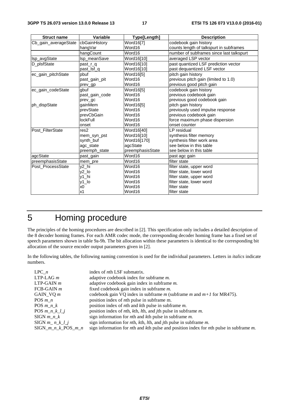| <b>Struct name</b>   | Variable         | Type[Length]     | <b>Description</b>                       |
|----------------------|------------------|------------------|------------------------------------------|
| Cb_gain_averageState | cbGainHistory    | Word16[7]        | codebook gain history                    |
|                      | hangVar          | Word16           | counts length of talkspurt in subframes  |
|                      | hangCount        | Word16           | number of subframes since last talkspurt |
| Isp_avgState         | Isp_meanSave     | Word16[10]       | averaged LSP vector                      |
| D plsfState          | past r q         | Word16[10]       | past quantized LSF prediction vector     |
|                      | past_lsf_q       | Word16[10]       | past dequantized LSF vector              |
| ec_gain_pitchState   | pbuf             | Word16[5]        | pitch gain history                       |
|                      | past gain pit    | Word16           | previous pitch gain (limited to 1.0)     |
|                      | prev_gp          | Word16           | previous good pitch gain                 |
| ec_gain_codeState    | gbuf             | Word16[5]        | codebook gain history                    |
|                      | past gain code   | Word16           | previous codebook gain                   |
|                      | prev_gc          | Word16           | previous good codebook gain              |
| ph_dispState         | gainMem          | Word16[5]        | pitch gain history                       |
|                      | prevState        | Word16           | previously used impulse response         |
|                      | prevCbGain       | Word16           | previous codebook gain                   |
|                      | lockFull         | Word16           | force maximum phase dispersion           |
|                      | onset            | Word16           | onset counter                            |
| Post FilterState     | res <sub>2</sub> | Word16[40]       | LP residual                              |
|                      | mem_syn_pst      | Word16[10]       | synthesis filter memory                  |
|                      | synth_buf        | Word16[170]      | synthesis filter work area               |
|                      | agc_state        | agcState         | see below in this table                  |
|                      | preemph_state    | preemphasisState | see below in this table                  |
| agcState             | past_gain        | Word16           | past agc gain                            |
| preemphasisState     | mem pre          | Word16           | filter state                             |
| Post_ProcessState    | y2_hi            | Word16           | filter state, upper word                 |
|                      | $y2$ _lo         | Word16           | filter state, lower word                 |
|                      | v1 hi            | Word16           | filter state, upper word                 |
|                      | y1_lo            | Word16           | filter state, lower word                 |
|                      | x <sub>0</sub>   | Word16           | filter state                             |
|                      | x1               | Word16           | filter state                             |

# 5 Homing procedure

The principles of the homing procedures are described in [2]. This specification only includes a detailed description of the 8 decoder homing frames. For each AMR codec mode, the corresponding decoder homing frame has a fixed set of speech parameters shown in table 9a-9h. The bit allocation within these parameters is identical to the corresponding bit allocation of the source encoder output parameters given in [2].

In the following tables, the following naming convention is used for the individual parameters. Letters in *italics* indicate numbers.

| $LPC$ <i>n</i>          | index of <i>n</i> th LSF submatrix.                                                                                    |
|-------------------------|------------------------------------------------------------------------------------------------------------------------|
| $LTP-LAGm$              | adaptive codebook index for subframe <i>m</i> .                                                                        |
| $LTP-GAIN$ <i>m</i>     | adaptive codebook gain index in subframe $m$ .                                                                         |
| $FCB-GAIN$ <i>m</i>     | fixed codebook gain index in subframe m.                                                                               |
| GAIN VO $m$             | codebook gain VQ index in subframe $m$ (subframe $m$ and $m+1$ for MR475).                                             |
| POS $m$ $n$             | position index of <i>n</i> th pulse in subframe m.                                                                     |
| POS $m \, n \, k$       | position index of <i>n</i> th and <i>k</i> th pulse in subframe <i>m</i> .                                             |
| $POS\ m\ n\ k\ l\ j$    | position index of <i>n</i> th, <i>kth</i> , <i>lth</i> , and <i>jth</i> pulse in subframe <i>m</i> .                   |
| $SIGN$ $m_n_k$          | sign information for $n$ th and $k$ th pulse in subframe $m$ .                                                         |
| $SIGN$ <i>m n k l j</i> | sign information for $n$ th, $k$ th, $l$ th, and $j$ th pulse in subframe $m$ .                                        |
| $SIGN_{m,n-k}POS_{m,n}$ | sign information for <i>n</i> th and <i>k</i> th pulse and position index for <i>n</i> th pulse in subframe <i>m</i> . |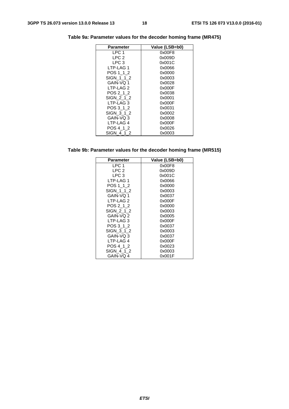| Parameter            | Value (LSB=b0) |
|----------------------|----------------|
| LPC 1                | 0x00F8         |
| LPC <sub>2</sub>     | 0x009D         |
| LPC 3                | 0x001C         |
| LTP-LAG 1            | 0x0066         |
| POS 1 1 2            | 0x0000         |
| SIGN 1 1 2           | 0x0003         |
| GAIN-VQ 1            | 0x0028         |
| LTP-LAG <sub>2</sub> | 0x000F         |
| POS 2 1 2            | 0x0038         |
| SIGN 2 1 2           | 0x0001         |
| LTP-LAG 3            | 0x000F         |
| POS 3 1 2            | 0x0031         |
| SIGN 3 1 2           | 0x0002         |
| GAIN-VQ 3            | 0x0008         |
| LTP-LAG 4            | 0x000F         |
| POS 4 1 2            | 0x0026         |
| SIGN 4 1 2           | 0x0003         |

**Table 9a: Parameter values for the decoder homing frame (MR475)** 

**Table 9b: Parameter values for the decoder homing frame (MR515)** 

| Parameter            | Value (LSB=b0) |
|----------------------|----------------|
| LPC 1                | 0x00F8         |
| LPC <sub>2</sub>     | 0x009D         |
| LPC 3                | 0x001C         |
| LTP-LAG 1            | 0x0066         |
| POS 1 1 2            | 0x0000         |
| SIGN 112             | 0x0003         |
| GAIN-VO 1            | 0x0037         |
| LTP-LAG <sub>2</sub> | 0x000F         |
| POS 2 1 2            | 0x0000         |
| SIGN 212             | 0x0003         |
| GAIN-VQ 2            | 0x0005         |
| LTP-LAG3             | 0x000F         |
| POS 3 1 2            | 0x0037         |
| SIGN 312             | 0x0003         |
| GAIN-VQ 3            | 0x0037         |
| LTP-LAG 4            | 0x000F         |
| POS 4 1 2            | 0x0023         |
| SIGN 4 1 2           | 0x0003         |
| GAIN-VQ 4            | 0x001F         |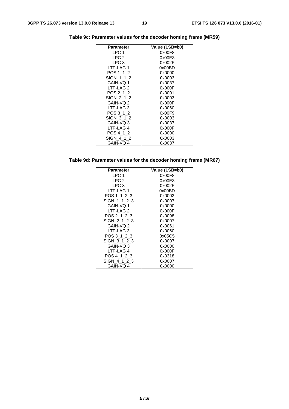| <b>Parameter</b> | Value (LSB=b0) |
|------------------|----------------|
| LPC 1            | 0x00F8         |
| LPC <sub>2</sub> | 0x00E3         |
| LPC 3            | 0x002F         |
| LTP-LAG 1        | 0x00BD         |
| POS 1 1 2        | 0x0000         |
| SIGN 1 1 2       | 0x0003         |
| GAIN-VO 1        | 0x0037         |
| LTP-LAG 2        | 0x000F         |
| POS 2 1 2        | 0x0001         |
| SIGN 212         | 0x0003         |
| GAIN-VQ 2        | 0x000F         |
| LTP-LAG 3        | 0x0060         |
| POS 3 1 2        | 0x00F9         |
| SIGN 3 1 2       | 0x0003         |
| GAIN-VQ 3        | 0x0037         |
| LTP-LAG 4        | 0x000F         |
| POS 4 1 2        | 0x0000         |
| SIGN 4 1 2       | 0x0003         |
| GAIN-VQ 4        | 0x0037         |

**Table 9c: Parameter values for the decoder homing frame (MR59)** 

#### **Table 9d: Parameter values for the decoder homing frame (MR67)**

| <b>Parameter</b> | Value (LSB=b0) |
|------------------|----------------|
| LPC 1            | 0x00F8         |
| LPC 2            | 0x00E3         |
| LPC 3            | 0x002F         |
| LTP-LAG 1        | 0x00BD         |
| POS 1 1 2 3      | 0x0002         |
| SIGN 1 1 2 3     | 0x0007         |
| GAIN-VQ 1        | 0x0000         |
| LTP-LAG 2        | 0x000F         |
| POS 2 1 2 3      | 0x0098         |
| SIGN 2 1 2 3     | 0x0007         |
| GAIN-VQ 2        | 0x0061         |
| LTP-LAG 3        | 0x0060         |
| POS 3 1 2 3      | 0x05C5         |
| SIGN 3 1 2 3     | 0x0007         |
| GAIN-VQ 3        | 0x0000         |
| LTP-LAG 4        | 0x000F         |
| POS 4 1 2 3      | 0x0318         |
| SIGN 4 1 2 3     | 0x0007         |
| GAIN-VQ 4        | 0x0000         |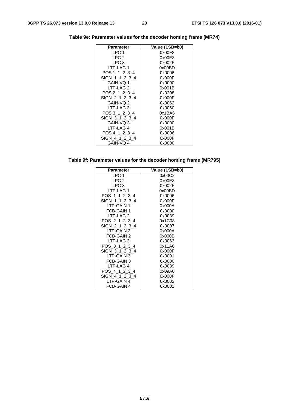| <b>Parameter</b> | Value (LSB=b0) |
|------------------|----------------|
| LPC 1            | 0x00F8         |
| LPC <sub>2</sub> | 0x00E3         |
| LPC 3            | 0x002F         |
| LTP-LAG 1        | 0x00BD         |
| POS 1 1 2 3 4    | 0x0006         |
| SIGN 1 1 2 3 4   | 0x000F         |
| GAIN-VO 1        | 0x0000         |
| LTP-LAG 2        | 0x001B         |
| POS 2 1 2 3 4    | 0x0208         |
| SIGN 2 1 2 3 4   | 0x000F         |
| GAIN-VQ 2        | 0x0062         |
| LTP-LAG 3        | 0x0060         |
| POS 3 1 2 3 4    | 0x1BA6         |
| SIGN 3 1 2 3 4   | 0x000F         |
| GAIN-VQ 3        | 0x0000         |
| LTP-LAG 4        | 0x001B         |
| POS 4 1 2 3 4    | 0x0006         |
| SIGN 4 1 2 3 4   | 0x000F         |
| GAIN-VQ 4        | 0x0000         |

**Table 9e: Parameter values for the decoder homing frame (MR74)** 

#### **Table 9f: Parameter values for the decoder homing frame (MR795)**

| Parameter        | Value (LSB=b0) |
|------------------|----------------|
| LPC <sub>1</sub> | 0x00C2         |
| LPC <sub>2</sub> | 0x00E3         |
| LPC 3            | 0x002F         |
| LTP-LAG 1        | 0x00BD         |
| POS 1 1 2 3 4    | 0x0006         |
| SIGN 1 1 2 3 4   | 0x000F         |
| LTP-GAIN 1       | 0x000A         |
| FCB-GAIN 1       | 0x0000         |
| LTP-LAG 2        | 0x0039         |
| POS 2 1 2 3 4    | 0x1C08         |
| SIGN 2 1 2 3 4   | 0x0007         |
| LTP-GAIN 2       | 0x000A         |
| FCB-GAIN 2       | 0x000B         |
| LTP-LAG 3        | 0x0063         |
| POS 3 1 2 3 4    | 0x11A6         |
| SIGN 3 1 2 3 4   | 0x000F         |
| LTP-GAIN 3       | 0x0001         |
| FCB-GAIN 3       | 0x0000         |
| LTP-LAG 4        | 0x0039         |
| POS 4 1 2 3 4    | 0x09A0         |
| SIGN 4 1 2 3 4   | 0x000F         |
| LTP-GAIN 4       | 0x0002         |
| FCB-GAIN 4       | 0x0001         |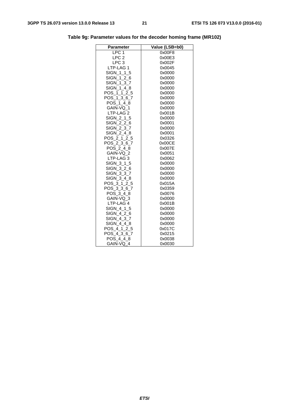| Parameter            | Value (LSB=b0) |
|----------------------|----------------|
| LPC <sub>1</sub>     | 0x00F8         |
| LPC <sub>2</sub>     | 0x00E3         |
| LPC <sub>3</sub>     | 0x002F         |
| LTP-LAG 1            | 0x0045         |
| SIGN_1_1_5           | 0x0000         |
| SIGN_1_2_6           | 0x0000         |
| SIGN 1 3 7           | 0x0000         |
| SIGN_1_4_8           | 0x0000         |
| POS 1 1 2 5          | 0x0000         |
| POS_1_3_6_7          | 0x0000         |
| POS_1_4_8            | 0x0000         |
| GAIN-VQ 1            | 0x0000         |
| LTP-LAG <sub>2</sub> | 0x001B         |
| SIGN 2 1 5           | 0x0000         |
| SIGN 2 2 6           | 0x0001         |
| SIGN 2 3 7           | 0x0000         |
| SIGN_2_4_8           | 0x0001         |
| POS_2_1_2_5          | 0x0326         |
| POS_2_3_6_7          | 0x00CE         |
| POS 2 4 8            | 0x007E         |
| GAIN-VQ 2            | 0x0051         |
| LTP-LAG 3            | 0x0062         |
| SIGN_3_1_5           | 0x0000         |
| SIGN_3_2_6           | 0x0000         |
| SIGN 3 3 7           | 0x0000         |
| SIGN_3_4_8           | 0x0000         |
| POS 3 1 2 5          | 0x015A         |
| POS 3 3 6 7          | 0x0359         |
| POS_3_4_8            | 0x0076         |
| GAIN-VQ_3            | 0x0000         |
| LTP-LAG 4            | 0x001B         |
| SIGN 4 1 5           | 0x0000         |
| SIGN 4 2 6           | 0x0000         |
| SIGN_4_3_7           | 0x0000         |
| SIGN 4 4 8           | 0x0000         |
| POS_4_1_2_5          | 0x017C         |
| POS_4_3_6_7          | 0x0215         |
| POS 4 4 8            | 0x0038         |
| GAIN-VQ 4            | 0x0030         |

**Table 9g: Parameter values for the decoder homing frame (MR102)**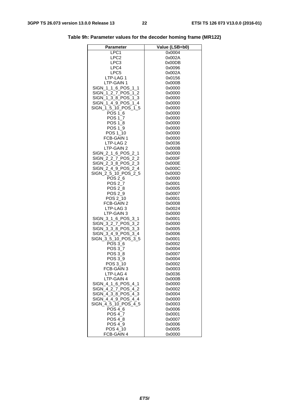| Parameter           | Value (LSB=b0) |
|---------------------|----------------|
| LPC1                | 0x0004         |
| LPC2                | 0x002A         |
| LPC3                | 0x00DB         |
| LPC4                | 0x0096         |
| LPC5                | 0x002A         |
| LTP-LAG 1           | 0x0156         |
| LTP-GAIN 1          | 0x000B         |
| SIGN_1_1_6_POS_1_1  | 0x0000         |
| SIGN 1 2 7 POS 1 2  | 0x0000         |
| SIGN_1_3_8_POS_1_3  | 0x0000         |
| SIGN 1 4 9 POS 1 4  | 0x0000         |
| SIGN_1_5_10_POS_1_5 | 0x0000         |
| POS 1_6             | 0x0000         |
| POS 1_7             | 0x0000         |
| POS 1_8             | 0x0000         |
| POS 1_9             | 0x0000         |
| POS 1_10            | 0x0000         |
| FCB-GAIN 1          | 0x0000         |
| LTP-LAG 2           | 0x0036         |
| LTP-GAIN 2          | 0x000B         |
| SIGN_2_1_6_POS_2_1  | 0x0000         |
| SIGN 2 2 7 POS 2 2  | 0x000F         |
| SIGN 2 3 8 POS 2 3  | 0x000E         |
| SIGN 2 4 9 POS 2 4  | 0x000C         |
| SIGN_2_5_10_POS_2_5 | 0x000D         |
| POS 2 6             | 0x0000         |
| POS 2_7             | 0x0001         |
| POS 2_8             | 0x0005         |
| POS 2_9             | 0x0007         |
| POS 2_10            | 0x0001         |
| FCB-GAIN 2          | 0x0008         |
| LTP-LAG 3           | 0x0024         |
| LTP-GAIN 3          | 0x0000         |
| SIGN 3 1 6 POS 3 1  | 0x0001         |
| SIGN_3_2_7_POS_3_2  | 0x0000         |
| SIGN_3_3_8_POS_3_3  | 0x0005         |
| SIGN 3 4 9 POS 3 4  | 0x0006         |
| SIGN_3_5_10_POS_3_5 | 0x0001         |
| POS 3_6             | 0x0002         |
| POS 3 7             | 0x0004         |
| POS 3_8             | 0x0007         |
| POS 3 9             | 0x0004         |
| POS 3_10            | 0x0002         |
| FCB-GAIN 3          | 0x0003         |
| LTP-LAG 4           | 0x0036         |
| LTP-GAIN 4          | 0x000B         |
| SIGN_4_1_6_POS_4_1  | 0x0000         |
| SIGN_4_2_7_POS_4_2  | 0x0002         |
| SIGN 4 3 8 POS 4 3  | 0x0004         |
| SIGN_4_4_9_POS_4_4  | 0x0000         |
| SIGN 4 5 10 POS 4 5 | 0x0003         |
| POS 4 6             | 0x0006         |
| POS 4_7             | 0x0001         |
| <b>POS 4 8</b>      | 0x0007         |
| POS 4_9             | 0x0006         |
| POS 4_10            | 0x0005         |
| FCB-GAIN 4          | 0x0000         |

**Table 9h: Parameter values for the decoder homing frame (MR122)**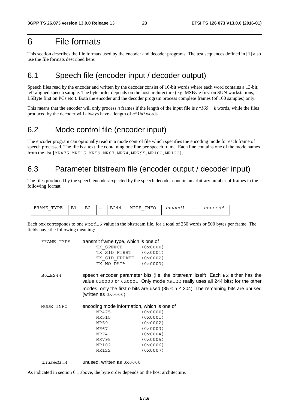# 6 File formats

This section describes the file formats used by the encoder and decoder programs. The test sequences defined in [1] also use the file formats described here.

### 6.1 Speech file (encoder input / decoder output)

Speech files read by the encoder and written by the decoder consist of 16-bit words where each word contains a 13-bit, left aligned speech sample. The byte order depends on the host architecture (e.g. MSByte first on SUN workstations, LSByte first on PCs etc.). Both the encoder and the decoder program process complete frames (of 160 samples) only.

This means that the encoder will only process *n* frames if the length of the input file is *n\*160 + k* words, while the files produced by the decoder will always have a length of *n\*160* words.

# 6.2 Mode control file (encoder input)

The encoder program can optionally read in a mode control file which specifies the encoding mode for each frame of speech processed. The file is a text file containing one line per speech frame. Each line contains one of the mode names from the list {MR475, MR515, MR59, MR67, MR74, MR795, MR102, MR122}.

# 6.3 Parameter bitstream file (encoder output / decoder input)

The files produced by the speech encoder/expected by the speech decoder contain an arbitrary number of frames in the following format.

| ם י<br>mт<br>٠MF<br>יידי<br>$\overline{\phantom{a}}$ | n.<br>□⊥ | ▵ | $\cdots$ | ⊿∆רי | INFC<br>MOI<br>7F.<br>$\overline{\phantom{a}}$ | $C \cap C$<br>$\cdots$<br>------- | $\cdots$ | 112177722<br>uiiu |
|------------------------------------------------------|----------|---|----------|------|------------------------------------------------|-----------------------------------|----------|-------------------|
|------------------------------------------------------|----------|---|----------|------|------------------------------------------------|-----------------------------------|----------|-------------------|

Each box corresponds to one Word16 value in the bitstream file, for a total of 250 words or 500 bytes per frame. The fields have the following meaning:

| FRAME TYPE | transmit frame type, which is one of |          |
|------------|--------------------------------------|----------|
|            | TX SPEECH                            | (0x0000) |
|            | TX SID FIRST                         | (0x0001) |
|            | TX SID UPDATE                        | (0x0002) |
|            | TX NO DATA                           | (0x0003) |

B0…B244 speech encoder parameter bits (i.e. the bitstream itself). Each B*x* either has the value 0x0000 or 0x0001. Only mode MR122 really uses all 244 bits; for the other modes, only the first *n* bits are used (35  $\leq$  n  $\leq$  204). The remaining bits are unused (written as 0x0000)

| MODE INFO |              | encoding mode information, which is one of |
|-----------|--------------|--------------------------------------------|
|           | MR475        | (0x0000)                                   |
|           | <b>MR515</b> | (0x0001)                                   |
|           | MR59         | (0x0002)                                   |
|           | MR67         | (0x0003)                                   |
|           | MR74         | (0x0004)                                   |
|           | MR795        | (0x0005)                                   |
|           | MR102        | (0x0006)                                   |
|           | MR122        | (0x0007)                                   |

*unused1…4* unused, written as 0x0000

As indicated in section 6.1 above, the byte order depends on the host architecture.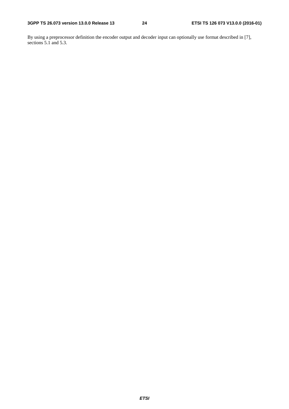By using a preprocessor definition the encoder output and decoder input can optionally use format described in [7], sections  $\overline{5.1}$  and  $\overline{5.3}$ .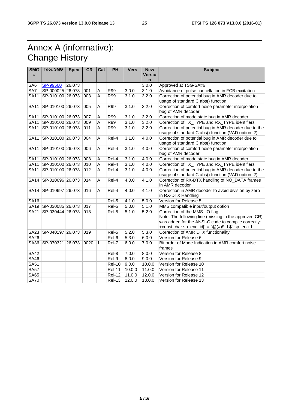# Annex A (informative): Change History

| <b>SMG</b><br># | <b>Tdoc SMG</b>           | <b>Spec</b> | <b>CR</b> | Cat          | <b>PH</b>     | <b>Vers</b> | <b>New</b><br><b>Versio</b><br>n | <b>Subject</b>                                                                                                                                                                                                             |  |
|-----------------|---------------------------|-------------|-----------|--------------|---------------|-------------|----------------------------------|----------------------------------------------------------------------------------------------------------------------------------------------------------------------------------------------------------------------------|--|
| SA6             | SP-99560                  | 26.073      |           |              |               |             | 3.0.0                            | Approved at TSG-SA#6                                                                                                                                                                                                       |  |
| SA7             | SP-000025 26.073          |             | 001       | Α            | R99           | 3.0.0       | 3.1.0                            | Avoidance of pulse cancellation in FCB excitation                                                                                                                                                                          |  |
| <b>SA11</b>     | SP-010100 26.073          |             | 003       | A            | R99           | 3.1.0       | 3.2.0                            | Correction of potential bug in AMR decoder due to<br>usage of standard C abs() function                                                                                                                                    |  |
| <b>SA11</b>     | SP-010100 26.073          |             | 005       | A            | R99           | 3.1.0       | 3.2.0                            | Correction of comfort noise parameter interpolation<br>bug of AMR decoder                                                                                                                                                  |  |
| <b>SA11</b>     | SP-010100 26.073          |             | 007       | Α            | R99           | 3.1.0       | 3.2.0                            | Correction of mode state bug in AMR decoder                                                                                                                                                                                |  |
| <b>SA11</b>     | SP-010100 26.073          |             | 009       | A            | R99           | 3.1.0       | 3.2.0                            | Correction of TX_TYPE and RX_TYPE identifiers                                                                                                                                                                              |  |
| <b>SA11</b>     | SP-010100 26.073          |             | 011       | A            | R99           | 3.1.0       | 3.2.0                            | Correction of potential bug in AMR decoder due to the<br>usage of standard C abs() function (VAD option_2)                                                                                                                 |  |
| <b>SA11</b>     | SP-010100 26.073          |             | 004       | A            | Rel-4         | 3.1.0       | 4.0.0                            | Correction of potential bug in AMR decoder due to<br>usage of standard C abs() function                                                                                                                                    |  |
| <b>SA11</b>     | SP-010100 26.073          |             | 006       | A            | Rel-4         | 3.1.0       | 4.0.0                            | Correction of comfort noise parameter interpolation<br>bug of AMR decoder                                                                                                                                                  |  |
| SA11            | SP-010100 26.073          |             | 008       | A            | Rel-4         | 3.1.0       | 4.0.0                            | Correction of mode state bug in AMR decoder                                                                                                                                                                                |  |
| <b>SA11</b>     | SP-010100 26.073          |             | 010       | A            | Rel-4         | 3.1.0       | 4.0.0                            | Correction of TX_TYPE and RX_TYPE identifiers                                                                                                                                                                              |  |
| <b>SA11</b>     | SP-010100 26.073          |             | 012       | A            | Rel-4         | 3.1.0       | 4.0.0                            | Correction of potential bug in AMR decoder due to the<br>usage of standard C abs() function (VAD option_2)                                                                                                                 |  |
| <b>SA14</b>     | SP-010696 26.073          |             | 014       | A            | Rel-4         | 4.0.0       | 4.1.0                            | Correction of RX-DTX handling of NO_DATA frames<br>in AMR decoder                                                                                                                                                          |  |
| <b>SA14</b>     | SP-010697 26.073          |             | 016       | A            | Rel-4         | 4.0.0       | 4.1.0                            | Correction in AMR decoder to avoid division by zero<br>in RX-DTX Handling                                                                                                                                                  |  |
| <b>SA16</b>     |                           |             |           |              | Rel-5         | 4.1.0       | 5.0.0                            | Version for Release 5                                                                                                                                                                                                      |  |
|                 | SA19 SP-030085 26.073     |             | 017       |              | Rel-5         | 5.0.0       | 5.1.0                            | MMS compatible input/output option                                                                                                                                                                                         |  |
| <b>SA21</b>     | SP-030444 26.073          |             | 018       |              | Rel-5         | 5.1.0       | 5.2.0                            | Correction of the MMS_IO flag<br>Note. The following line (missing in the approved CR)<br>was added for the ANSI-C code to compile correctly:<br>+const char sp_enc_id[] = $\mathcal{Q}(\#)\$ ld $\mathcal{S}$ " sp_enc_h; |  |
|                 | SA23   SP-040197   26.073 |             | 019       |              | Rel-5         | 5.2.0       | 5.3.0                            | Correction of AMR DTX functionality                                                                                                                                                                                        |  |
| <b>SA26</b>     |                           |             |           |              | Rel-6         | 5.3.0       | 6.0.0                            | Version for Release 6                                                                                                                                                                                                      |  |
|                 | SA36 SP-070321 26.073     |             | 0020      | $\mathbf{1}$ | Rel-7         | 6.0.0       | 7.0.0                            | Bit order of Mode Indication in AMR comfort noise<br>frames                                                                                                                                                                |  |
| <b>SA42</b>     |                           |             |           |              | Rel-8         | 7.0.0       | 8.0.0                            | Version for Release 8                                                                                                                                                                                                      |  |
| <b>SA46</b>     |                           |             |           |              | Rel-9         | 8.0.0       | 9.0.0                            | Version for Release 9                                                                                                                                                                                                      |  |
| <b>SA51</b>     |                           |             |           |              | <b>Rel-10</b> | 9.0.0       | 10.0.0                           | Version for Release 10                                                                                                                                                                                                     |  |
| <b>SA57</b>     |                           |             |           |              | <b>Rel-11</b> | 10.0.0      | 11.0.0                           | Version for Release 11                                                                                                                                                                                                     |  |
| SA65            |                           |             |           |              | <b>Rel-12</b> | 11.0.0      | 12.0.0                           | Version for Release 12                                                                                                                                                                                                     |  |
| <b>SA70</b>     |                           |             |           |              | <b>Rel-13</b> | 12.0.0      | 13.0.0                           | Version for Release 13                                                                                                                                                                                                     |  |